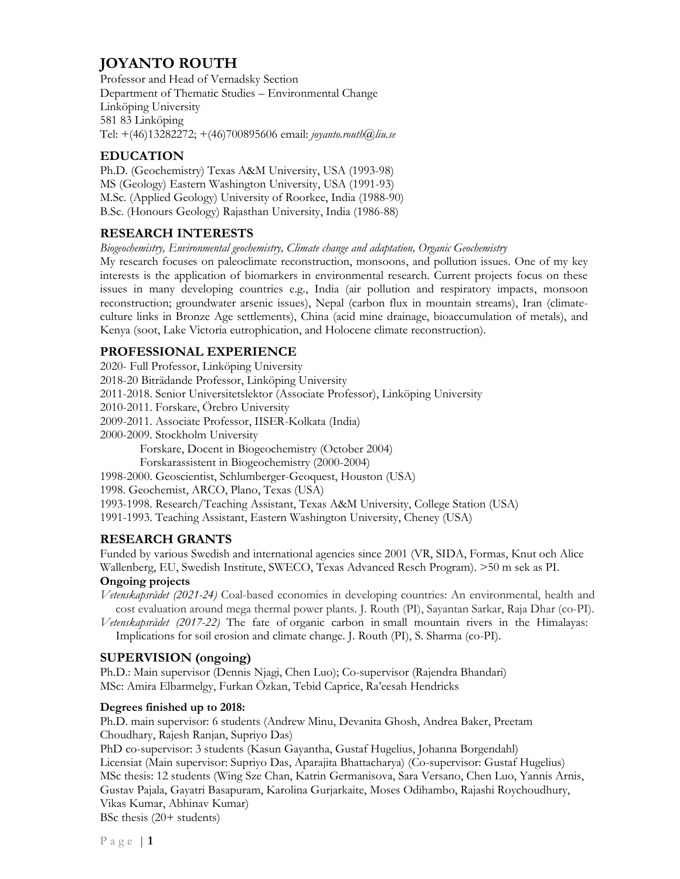# **JOYANTO ROUTH**

Professor and Head of Vernadsky Section Department of Thematic Studies – Environmental Change Linköping University 581 83 Linköping Tel: +(46)13282272; +(46)700895606 email: *joyanto.routh@liu.se*

# **EDUCATION**

Ph.D. (Geochemistry) Texas A&M University, USA (1993-98) MS (Geology) Eastern Washington University, USA (1991-93) M.Sc. (Applied Geology) University of Roorkee, India (1988-90) B.Sc. (Honours Geology) Rajasthan University, India (1986-88)

# **RESEARCH INTERESTS**

*Biogeochemistry, Environmental geochemistry, Climate change and adaptation, Organic Geochemistry* 

My research focuses on paleoclimate reconstruction, monsoons, and pollution issues. One of my key interests is the application of biomarkers in environmental research. Current projects focus on these issues in many developing countries e.g., India (air pollution and respiratory impacts, monsoon reconstruction; groundwater arsenic issues), Nepal (carbon flux in mountain streams), Iran (climateculture links in Bronze Age settlements), China (acid mine drainage, bioaccumulation of metals), and Kenya (soot, Lake Victoria eutrophication, and Holocene climate reconstruction).

# **PROFESSIONAL EXPERIENCE**

2020- Full Professor, Linköping University 2018-20 Biträdande Professor, Linköping University 2011-2018. Senior Universitetslektor (Associate Professor), Linköping University 2010-2011. Forskare, Örebro University 2009-2011. Associate Professor, IISER-Kolkata (India) 2000-2009. Stockholm University Forskare, Docent in Biogeochemistry (October 2004) Forskarassistent in Biogeochemistry (2000-2004) 1998-2000. Geoscientist, Schlumberger-Geoquest, Houston (USA) 1998. Geochemist, ARCO, Plano, Texas (USA) 1993-1998. Research/Teaching Assistant, Texas A&M University, College Station (USA) 1991-1993. Teaching Assistant, Eastern Washington University, Cheney (USA)

# **RESEARCH GRANTS**

Funded by various Swedish and international agencies since 2001 (VR, SIDA, Formas, Knut och Alice Wallenberg, EU, Swedish Institute, SWECO, Texas Advanced Resch Program). >50 m sek as PI.

## **Ongoing projects**

*Vetenskapsrådet (2021-24)* Coal-based economies in developing countries: An environmental, health and cost evaluation around mega thermal power plants. J. Routh (PI), Sayantan Sarkar, Raja Dhar (co-PI).

*Vetenskapsrådet (2017-22)* The fate of organic carbon in small mountain rivers in the Himalayas: Implications for soil erosion and climate change. J. Routh (PI), S. Sharma (co-PI).

## **SUPERVISION (ongoing)**

Ph.D.: Main supervisor (Dennis Njagi, Chen Luo); Co-supervisor (Rajendra Bhandari) MSc: Amira Elbarmelgy, Furkan Özkan, Tebid Caprice, Ra'eesah Hendricks

## **Degrees finished up to 2018:**

Ph.D. main supervisor: 6 students (Andrew Minu, Devanita Ghosh, Andrea Baker, Preetam Choudhary, Rajesh Ranjan, Supriyo Das)

PhD co-supervisor: 3 students (Kasun Gayantha, Gustaf Hugelius, Johanna Borgendahl) Licensiat (Main supervisor: Supriyo Das, Aparajita Bhattacharya) (Co-supervisor: Gustaf Hugelius) MSc thesis: 12 students (Wing Sze Chan, Katrin Germanisova, Sara Versano, Chen Luo, Yannis Arnis, Gustav Pajala, Gayatri Basapuram, Karolina Gurjarkaite, Moses Odihambo, Rajashi Roychoudhury, Vikas Kumar, Abhinav Kumar)

BSc thesis (20+ students)